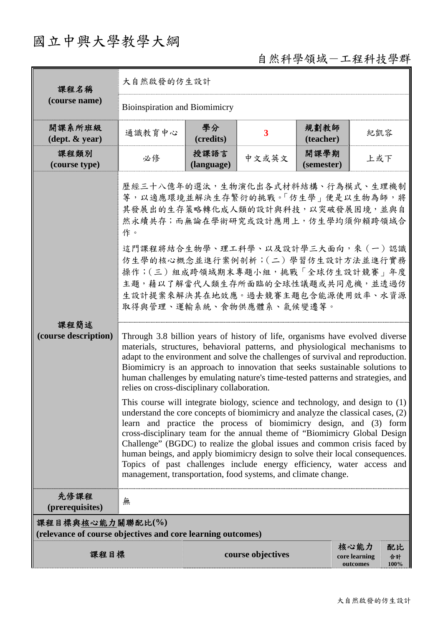## 國立中興大學教學大綱

自然科學領域-工程科技學群

| 課程名稱<br>(course name)                                                           | 大自然啟發的仿生設計                                                                                                                                                                                                                                                                                                                                                                                                                                                                                                                                                                                                                                                                                                                                                                                                                                                                                                                                                                                                                                                                                                                                                                                                                                                                                                                                                                                                                                                              |                    |                         |                    |                                                       |  |  |
|---------------------------------------------------------------------------------|-------------------------------------------------------------------------------------------------------------------------------------------------------------------------------------------------------------------------------------------------------------------------------------------------------------------------------------------------------------------------------------------------------------------------------------------------------------------------------------------------------------------------------------------------------------------------------------------------------------------------------------------------------------------------------------------------------------------------------------------------------------------------------------------------------------------------------------------------------------------------------------------------------------------------------------------------------------------------------------------------------------------------------------------------------------------------------------------------------------------------------------------------------------------------------------------------------------------------------------------------------------------------------------------------------------------------------------------------------------------------------------------------------------------------------------------------------------------------|--------------------|-------------------------|--------------------|-------------------------------------------------------|--|--|
|                                                                                 | <b>Bioinspiration and Biomimicry</b>                                                                                                                                                                                                                                                                                                                                                                                                                                                                                                                                                                                                                                                                                                                                                                                                                                                                                                                                                                                                                                                                                                                                                                                                                                                                                                                                                                                                                                    |                    |                         |                    |                                                       |  |  |
| 開課系所班級<br>$(\text{dept.} \& \text{ year})$                                      | 通識教育中心                                                                                                                                                                                                                                                                                                                                                                                                                                                                                                                                                                                                                                                                                                                                                                                                                                                                                                                                                                                                                                                                                                                                                                                                                                                                                                                                                                                                                                                                  | 學分<br>(credits)    | $\overline{\mathbf{3}}$ | 規劃教師<br>(teacher)  | 紀凱容                                                   |  |  |
| 課程類別<br>(course type)                                                           | 必修                                                                                                                                                                                                                                                                                                                                                                                                                                                                                                                                                                                                                                                                                                                                                                                                                                                                                                                                                                                                                                                                                                                                                                                                                                                                                                                                                                                                                                                                      | 授課語言<br>(language) | 中文或英文                   | 開課學期<br>(semester) | 上或下                                                   |  |  |
| 課程簡述<br>(course description)                                                    | 歷經三十八億年的選汰,生物演化出各式材料結構、行為模式、生理機制<br>等,以適應環境並解決生存繁衍的挑戰。「仿生學」便是以生物為師,將<br>其發展出的生存策略轉化成人類的設計與科技,以突破發展困境,並與自<br>然永續共存;而無論在學術研究或設計應用上,仿生學均須仰賴跨領域合<br>作。<br>這門課程將結合生物學、理工科學、以及設計學三大面向,來(一)認識<br>仿生學的核心概念並進行案例剖析;(二)學習仿生設計方法並進行實務<br>操作;(三) 組成跨領域期末專題小組,挑戰「全球仿生設計競賽」年度<br>主題,藉以了解當代人類生存所面臨的全球性議題或共同危機,並透過仿<br>生設計提案來解決其在地效應。過去競賽主題包含能源使用效率、水資源<br>取得與管理、運輸系統、食物供應體系、氣候變遷等。<br>Through 3.8 billion years of history of life, organisms have evolved diverse<br>materials, structures, behavioral patterns, and physiological mechanisms to<br>adapt to the environment and solve the challenges of survival and reproduction.<br>Biomimicry is an approach to innovation that seeks sustainable solutions to<br>human challenges by emulating nature's time-tested patterns and strategies, and<br>relies on cross-disciplinary collaboration.<br>This course will integrate biology, science and technology, and design to $(1)$<br>understand the core concepts of biomimicry and analyze the classical cases, $(2)$<br>learn and practice the process of biomimicry design, and (3) form<br>cross-disciplinary team for the annual theme of "Biomimicry Global Design<br>Challenge" (BGDC) to realize the global issues and common crisis faced by<br>human beings, and apply biomimicry design to solve their local consequences.<br>Topics of past challenges include energy efficiency, water access and<br>management, transportation, food systems, and climate change. |                    |                         |                    |                                                       |  |  |
| 先修課程<br>(prerequisites)                                                         | 無                                                                                                                                                                                                                                                                                                                                                                                                                                                                                                                                                                                                                                                                                                                                                                                                                                                                                                                                                                                                                                                                                                                                                                                                                                                                                                                                                                                                                                                                       |                    |                         |                    |                                                       |  |  |
| 課程目標與核心能力關聯配比(%)<br>(relevance of course objectives and core learning outcomes) |                                                                                                                                                                                                                                                                                                                                                                                                                                                                                                                                                                                                                                                                                                                                                                                                                                                                                                                                                                                                                                                                                                                                                                                                                                                                                                                                                                                                                                                                         |                    |                         |                    |                                                       |  |  |
| 課程目標                                                                            |                                                                                                                                                                                                                                                                                                                                                                                                                                                                                                                                                                                                                                                                                                                                                                                                                                                                                                                                                                                                                                                                                                                                                                                                                                                                                                                                                                                                                                                                         |                    | course objectives       |                    | 核心能力<br>配比<br>core learning<br>合計<br>100%<br>outcomes |  |  |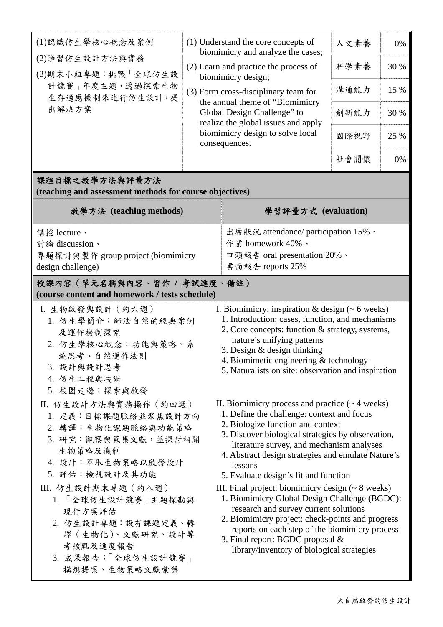| (1)認識仿生學核心概念及案例                                                                                                                                  | (1) Understand the core concepts of<br>biomimicry and analyze the cases;<br>(2) Learn and practice the process of<br>biomimicry design;<br>(3) Form cross-disciplinary team for<br>the annual theme of "Biomimicry<br>Global Design Challenge" to<br>realize the global issues and apply<br>biomimicry design to solve local<br>consequences.          |                                                                                                                                                                                                                                                                                                                                             | 人文素養 | 0%   |  |  |  |  |  |
|--------------------------------------------------------------------------------------------------------------------------------------------------|--------------------------------------------------------------------------------------------------------------------------------------------------------------------------------------------------------------------------------------------------------------------------------------------------------------------------------------------------------|---------------------------------------------------------------------------------------------------------------------------------------------------------------------------------------------------------------------------------------------------------------------------------------------------------------------------------------------|------|------|--|--|--|--|--|
| (2)學習仿生設計方法與實務<br>(3)期末小組專題:挑戰「全球仿生設                                                                                                             |                                                                                                                                                                                                                                                                                                                                                        |                                                                                                                                                                                                                                                                                                                                             | 科學素養 | 30 % |  |  |  |  |  |
| 計競賽   年度主題,透過探索生物<br>生存適應機制來進行仿生設計,提                                                                                                             |                                                                                                                                                                                                                                                                                                                                                        |                                                                                                                                                                                                                                                                                                                                             | 溝通能力 | 15 % |  |  |  |  |  |
| 出解決方案                                                                                                                                            |                                                                                                                                                                                                                                                                                                                                                        |                                                                                                                                                                                                                                                                                                                                             | 創新能力 | 30 % |  |  |  |  |  |
|                                                                                                                                                  |                                                                                                                                                                                                                                                                                                                                                        |                                                                                                                                                                                                                                                                                                                                             | 國際視野 | 25 % |  |  |  |  |  |
|                                                                                                                                                  |                                                                                                                                                                                                                                                                                                                                                        |                                                                                                                                                                                                                                                                                                                                             | 社會關懷 | 0%   |  |  |  |  |  |
| 課程目標之教學方法與評量方法<br>(teaching and assessment methods for course objectives)                                                                        |                                                                                                                                                                                                                                                                                                                                                        |                                                                                                                                                                                                                                                                                                                                             |      |      |  |  |  |  |  |
| 教學方法 (teaching methods)                                                                                                                          | 學習評量方式 (evaluation)                                                                                                                                                                                                                                                                                                                                    |                                                                                                                                                                                                                                                                                                                                             |      |      |  |  |  |  |  |
| 講授 lecture、                                                                                                                                      | 出席狀況 attendance/ participation 15%、                                                                                                                                                                                                                                                                                                                    |                                                                                                                                                                                                                                                                                                                                             |      |      |  |  |  |  |  |
|                                                                                                                                                  |                                                                                                                                                                                                                                                                                                                                                        |                                                                                                                                                                                                                                                                                                                                             |      |      |  |  |  |  |  |
| 討論 discussion、                                                                                                                                   | 作業 homework 40%、                                                                                                                                                                                                                                                                                                                                       |                                                                                                                                                                                                                                                                                                                                             |      |      |  |  |  |  |  |
| 專題探討與製作 group project (biomimicry                                                                                                                | 口頭報告 oral presentation 20%、                                                                                                                                                                                                                                                                                                                            |                                                                                                                                                                                                                                                                                                                                             |      |      |  |  |  |  |  |
| design challenge)                                                                                                                                | 書面報告 reports 25%                                                                                                                                                                                                                                                                                                                                       |                                                                                                                                                                                                                                                                                                                                             |      |      |  |  |  |  |  |
| 授課內容(單元名稱與內容、習作 / 考試進度、備註)<br>(course content and homework / tests schedule)                                                                     |                                                                                                                                                                                                                                                                                                                                                        |                                                                                                                                                                                                                                                                                                                                             |      |      |  |  |  |  |  |
| I. 生物啟發與設計 (約六週)<br>1. 仿生學簡介:師法自然的經典案例<br>及運作機制探究<br>2. 仿生學核心概念:功能與策略、系<br>統思考、自然運作法則<br>3. 設計與設計思考<br>4. 仿生工程與技術<br>5. 校園走遊:探索與啟發               |                                                                                                                                                                                                                                                                                                                                                        | I. Biomimicry: inspiration $&$ design ( $<$ 6 weeks)<br>1. Introduction: cases, function, and mechanisms<br>2. Core concepts: function & strategy, systems,<br>nature's unifying patterns<br>3. Design $\&$ design thinking<br>4. Biomimetic engineering & technology<br>5. Naturalists on site: observation and inspiration                |      |      |  |  |  |  |  |
| II. 仿生設計方法與實務操作 (約四週)<br>1. 定義:目標課題脈絡並聚焦設計方向<br>2. 轉譯:生物化課題脈絡與功能策略<br>3. 研究:觀察與蒐集文獻,並探討相關<br>生物策略及機制<br>4. 設計:萃取生物策略以啟發設計<br>5. 評估:檢視設計及其功能      | II. Biomimicry process and practice $($ $\sim$ 4 weeks)<br>1. Define the challenge: context and focus<br>2. Biologize function and context<br>3. Discover biological strategies by observation,<br>literature survey, and mechanism analyses<br>4. Abstract design strategies and emulate Nature's<br>lessons<br>5. Evaluate design's fit and function |                                                                                                                                                                                                                                                                                                                                             |      |      |  |  |  |  |  |
| III. 仿生設計期末專題 (約八週)<br>1. 「全球仿生設計競賽」主題探勘與<br>現行方案評估<br>2. 仿生設計專題:設有課題定義、轉<br>譯 (生物化)、文獻研究、設計等<br>考核點及進度報告<br>3. 成果報告:「全球仿生設計競賽」<br>構想提案、生物策略文獻彙集 |                                                                                                                                                                                                                                                                                                                                                        | III. Final project: biomimicry design $($ $\sim$ 8 weeks)<br>1. Biomimicry Global Design Challenge (BGDC):<br>research and survey current solutions<br>2. Biomimicry project: check-points and progress<br>reports on each step of the biomimicry process<br>3. Final report: BGDC proposal &<br>library/inventory of biological strategies |      |      |  |  |  |  |  |